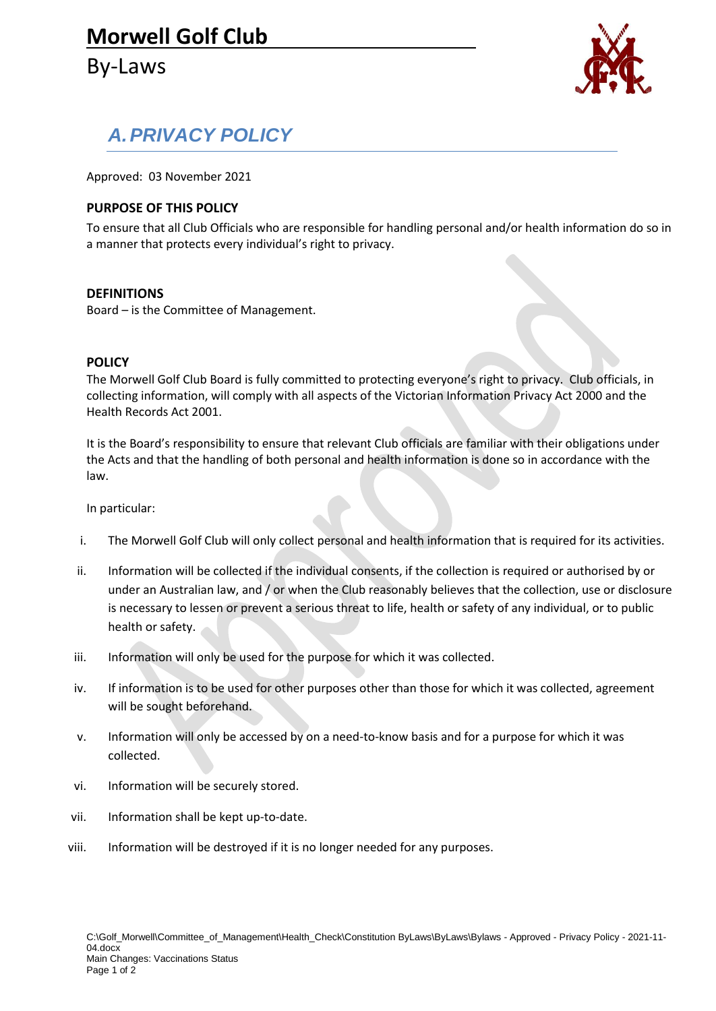# **Morwell Golf Club**

By-Laws



# *A.PRIVACY POLICY*

Approved: 03 November 2021

### **PURPOSE OF THIS POLICY**

To ensure that all Club Officials who are responsible for handling personal and/or health information do so in a manner that protects every individual's right to privacy.

#### **DEFINITIONS**

Board – is the Committee of Management.

#### **POLICY**

The Morwell Golf Club Board is fully committed to protecting everyone's right to privacy. Club officials, in collecting information, will comply with all aspects of the Victorian Information Privacy Act 2000 and the Health Records Act 2001.

It is the Board's responsibility to ensure that relevant Club officials are familiar with their obligations under the Acts and that the handling of both personal and health information is done so in accordance with the law.

In particular:

- i. The Morwell Golf Club will only collect personal and health information that is required for its activities.
- ii. Information will be collected if the individual consents, if the collection is required or authorised by or under an Australian law, and / or when the Club reasonably believes that the collection, use or disclosure is necessary to lessen or prevent a serious threat to life, health or safety of any individual, or to public health or safety.
- iii. Information will only be used for the purpose for which it was collected.
- iv. If information is to be used for other purposes other than those for which it was collected, agreement will be sought beforehand.
- v. Information will only be accessed by on a need-to-know basis and for a purpose for which it was collected.
- vi. Information will be securely stored.
- vii. Information shall be kept up-to-date.
- viii. Information will be destroyed if it is no longer needed for any purposes.